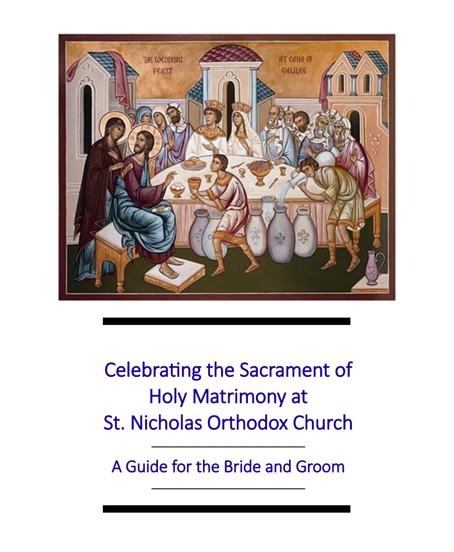

Celebrating the Sacrament of Holy Matrimony at St. Nicholas Orthodox Church

A Guide for the Bride and Groom

\_\_\_\_\_\_\_\_\_\_\_\_\_\_\_\_\_\_\_\_\_\_\_\_\_\_\_\_\_

\_\_\_\_\_\_\_\_\_\_\_\_\_\_\_\_\_\_\_\_\_\_\_\_\_\_\_\_\_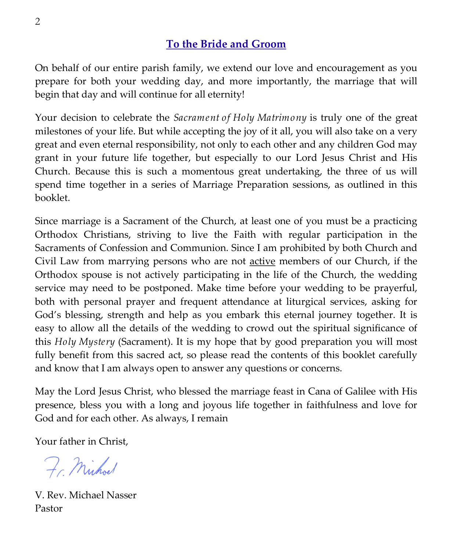## **To the Bride and Groom**

On behalf of our entire parish family, we extend our love and encouragement as you prepare for both your wedding day, and more importantly, the marriage that will begin that day and will continue for all eternity!

Your decision to celebrate the *Sacrament of Holy Matrimony* is truly one of the great milestones of your life. But while accepting the joy of it all, you will also take on a very great and even eternal responsibility, not only to each other and any children God may grant in your future life together, but especially to our Lord Jesus Christ and His Church. Because this is such a momentous great undertaking, the three of us will spend time together in a series of Marriage Preparation sessions, as outlined in this booklet.

Since marriage is a Sacrament of the Church, at least one of you must be a practicing Orthodox Christians, striving to live the Faith with regular participation in the Sacraments of Confession and Communion. Since I am prohibited by both Church and Civil Law from marrying persons who are not active members of our Church, if the Orthodox spouse is not actively participating in the life of the Church, the wedding service may need to be postponed. Make time before your wedding to be prayerful, both with personal prayer and frequent attendance at liturgical services, asking for God's blessing, strength and help as you embark this eternal journey together. It is easy to allow all the details of the wedding to crowd out the spiritual significance of this *Holy Mystery* (Sacrament). It is my hope that by good preparation you will most fully benefit from this sacred act, so please read the contents of this booklet carefully and know that I am always open to answer any questions or concerns.

May the Lord Jesus Christ, who blessed the marriage feast in Cana of Galilee with His presence, bless you with a long and joyous life together in faithfulness and love for God and for each other. As always, I remain

Your father in Christ,

Fr. Michael

V. Rev. Michael Nasser Pastor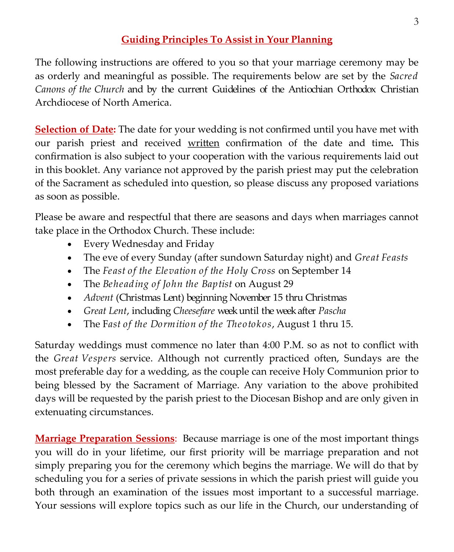## **Guiding Principles To Assist in Your Planning**

The following instructions are offered to you so that your marriage ceremony may be as orderly and meaningful as possible. The requirements below are set by the *Sacred Canons of the Church* and by the current Guidelines of the Antiochian Orthodox Christian Archdiocese of North America.

**Selection of Date:** The date for your wedding is not confirmed until you have met with our parish priest and received written confirmation of the date and time**.** This confirmation is also subject to your cooperation with the various requirements laid out in this booklet. Any variance not approved by the parish priest may put the celebration of the Sacrament as scheduled into question, so please discuss any proposed variations as soon as possible.

Please be aware and respectful that there are seasons and days when marriages cannot take place in the Orthodox Church. These include:

- Every Wednesday and Friday
- The eve of every Sunday (after sundown Saturday night) and *Great Feasts*
- The *Feast of the Elevation of the Holy Cross* on September 14
- The *Beheading of John the Baptist* on August 29
- *Advent* (Christmas Lent) beginning November 15 thru Christmas
- *Great Lent*, including *Cheesefare* week until the week after *Pascha*
- The F*ast of the Dormition of the Theotokos*, August 1 thru 15.

Saturday weddings must commence no later than 4:00 P.M. so as not to conflict with the *Great Vespers* service. Although not currently practiced often, Sundays are the most preferable day for a wedding, as the couple can receive Holy Communion prior to being blessed by the Sacrament of Marriage. Any variation to the above prohibited days will be requested by the parish priest to the Diocesan Bishop and are only given in extenuating circumstances.

**Marriage Preparation Sessions**: Because marriage is one of the most important things you will do in your lifetime, our first priority will be marriage preparation and not simply preparing you for the ceremony which begins the marriage. We will do that by scheduling you for a series of private sessions in which the parish priest will guide you both through an examination of the issues most important to a successful marriage. Your sessions will explore topics such as our life in the Church, our understanding of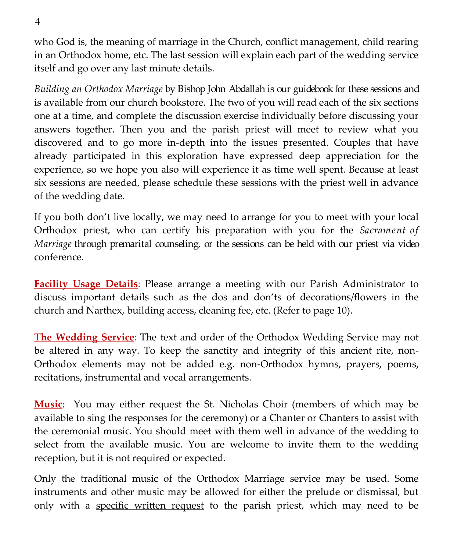who God is, the meaning of marriage in the Church, conflict management, child rearing in an Orthodox home, etc. The last session will explain each part of the wedding service itself and go over any last minute details.

*Building an Orthodox Marriage* by Bishop John Abdallah is our guidebook for these sessions and is available from our church bookstore. The two of you will read each of the six sections one at a time, and complete the discussion exercise individually before discussing your answers together. Then you and the parish priest will meet to review what you discovered and to go more in-depth into the issues presented. Couples that have already participated in this exploration have expressed deep appreciation for the experience, so we hope you also will experience it as time well spent. Because at least six sessions are needed, please schedule these sessions with the priest well in advance of the wedding date.

If you both don't live locally, we may need to arrange for you to meet with your local Orthodox priest, who can certify his preparation with you for the *Sacrament of Marriage* through premarital counseling, or the sessions can be held with our priest via video conference.

**Facility Usage Details**: Please arrange a meeting with our Parish Administrator to discuss important details such as the dos and don'ts of decorations/flowers in the church and Narthex, building access, cleaning fee, etc. (Refer to page 10).

**The Wedding Service**: The text and order of the Orthodox Wedding Service may not be altered in any way. To keep the sanctity and integrity of this ancient rite, non-Orthodox elements may not be added e.g. non-Orthodox hymns, prayers, poems, recitations, instrumental and vocal arrangements.

**Music:** You may either request the St. Nicholas Choir (members of which may be available to sing the responses for the ceremony) or a Chanter or Chanters to assist with the ceremonial music*.* You should meet with them well in advance of the wedding to select from the available music. You are welcome to invite them to the wedding reception, but it is not required or expected.

Only the traditional music of the Orthodox Marriage service may be used. Some instruments and other music may be allowed for either the prelude or dismissal, but only with a specific written request to the parish priest, which may need to be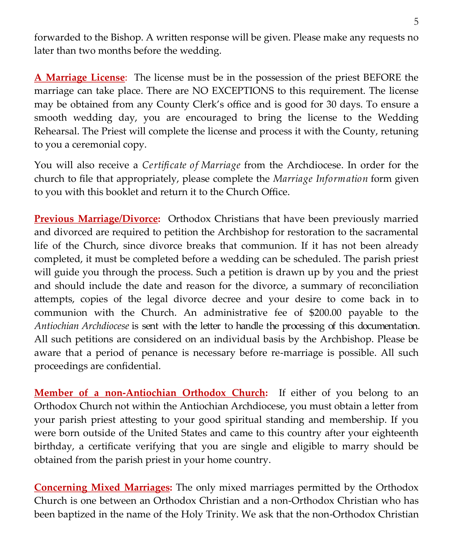forwarded to the Bishop. A written response will be given. Please make any requests no later than two months before the wedding.

**A Marriage License**: The license must be in the possession of the priest BEFORE the marriage can take place. There are NO EXCEPTIONS to this requirement. The license may be obtained from any County Clerk's office and is good for 30 days. To ensure a smooth wedding day, you are encouraged to bring the license to the Wedding Rehearsal. The Priest will complete the license and process it with the County, retuning to you a ceremonial copy.

You will also receive a *Certificate of Marriage* from the Archdiocese. In order for the church to file that appropriately, please complete the *Marriage Information* form given to you with this booklet and return it to the Church Office.

**Previous Marriage/Divorce:** Orthodox Christians that have been previously married and divorced are required to petition the Archbishop for restoration to the sacramental life of the Church, since divorce breaks that communion. If it has not been already completed, it must be completed before a wedding can be scheduled. The parish priest will guide you through the process. Such a petition is drawn up by you and the priest and should include the date and reason for the divorce, a summary of reconciliation attempts, copies of the legal divorce decree and your desire to come back in to communion with the Church. An administrative fee of \$200.00 payable to the *Antiochian Archdiocese* is sent with the letter to handle the processing of this documentation. All such petitions are considered on an individual basis by the Archbishop. Please be aware that a period of penance is necessary before re-marriage is possible. All such proceedings are confidential.

**Member of a non-Antiochian Orthodox Church:** If either of you belong to an Orthodox Church not within the Antiochian Archdiocese, you must obtain a letter from your parish priest attesting to your good spiritual standing and membership. If you were born outside of the United States and came to this country after your eighteenth birthday, a certificate verifying that you are single and eligible to marry should be obtained from the parish priest in your home country.

**Concerning Mixed Marriages:** The only mixed marriages permitted by the Orthodox Church is one between an Orthodox Christian and a non-Orthodox Christian who has been baptized in the name of the Holy Trinity. We ask that the non-Orthodox Christian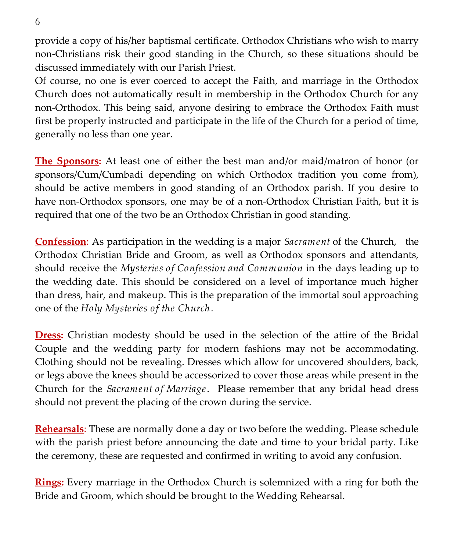provide a copy of his/her baptismal certificate. Orthodox Christians who wish to marry non-Christians risk their good standing in the Church, so these situations should be discussed immediately with our Parish Priest.

Of course, no one is ever coerced to accept the Faith, and marriage in the Orthodox Church does not automatically result in membership in the Orthodox Church for any non-Orthodox. This being said, anyone desiring to embrace the Orthodox Faith must first be properly instructed and participate in the life of the Church for a period of time, generally no less than one year.

**The Sponsors:** At least one of either the best man and/or maid/matron of honor (or sponsors/Cum/Cumbadi depending on which Orthodox tradition you come from), should be active members in good standing of an Orthodox parish. If you desire to have non-Orthodox sponsors, one may be of a non-Orthodox Christian Faith, but it is required that one of the two be an Orthodox Christian in good standing.

**Confession**: As participation in the wedding is a major *Sacrament* of the Church, the Orthodox Christian Bride and Groom, as well as Orthodox sponsors and attendants, should receive the *Mysteries of Confession and Communion* in the days leading up to the wedding date. This should be considered on a level of importance much higher than dress, hair, and makeup. This is the preparation of the immortal soul approaching one of the *Holy Mysteries of the Church*.

**Dress:** Christian modesty should be used in the selection of the attire of the Bridal Couple and the wedding party for modern fashions may not be accommodating. Clothing should not be revealing. Dresses which allow for uncovered shoulders, back, or legs above the knees should be accessorized to cover those areas while present in the Church for the *Sacrament of Marriage*. Please remember that any bridal head dress should not prevent the placing of the crown during the service.

**Rehearsals**: These are normally done a day or two before the wedding. Please schedule with the parish priest before announcing the date and time to your bridal party. Like the ceremony, these are requested and confirmed in writing to avoid any confusion.

**Rings:** Every marriage in the Orthodox Church is solemnized with a ring for both the Bride and Groom, which should be brought to the Wedding Rehearsal.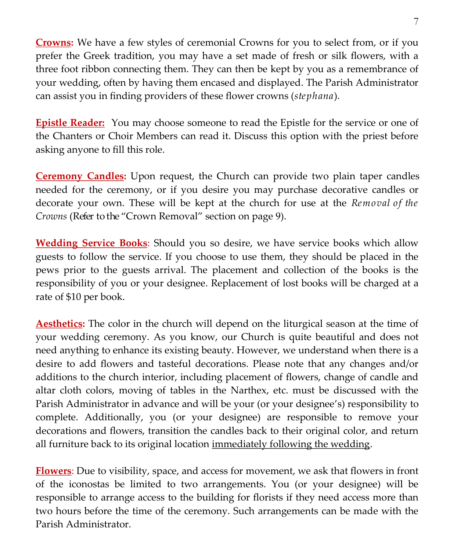**Crowns:** We have a few styles of ceremonial Crowns for you to select from, or if you prefer the Greek tradition, you may have a set made of fresh or silk flowers, with a three foot ribbon connecting them. They can then be kept by you as a remembrance of your wedding, often by having them encased and displayed. The Parish Administrator can assist you in finding providers of these flower crowns (*stephana*).

**Epistle Reader:** You may choose someone to read the Epistle for the service or one of the Chanters or Choir Members can read it. Discuss this option with the priest before asking anyone to fill this role.

**Ceremony Candles:** Upon request, the Church can provide two plain taper candles needed for the ceremony, or if you desire you may purchase decorative candles or decorate your own. These will be kept at the church for use at the *Removal of the Crowns* (Refer to the "Crown Removal" section on page 9).

**Wedding Service Books**: Should you so desire, we have service books which allow guests to follow the service. If you choose to use them, they should be placed in the pews prior to the guests arrival. The placement and collection of the books is the responsibility of you or your designee. Replacement of lost books will be charged at a rate of \$10 per book.

**Aesthetics:** The color in the church will depend on the liturgical season at the time of your wedding ceremony. As you know, our Church is quite beautiful and does not need anything to enhance its existing beauty. However, we understand when there is a desire to add flowers and tasteful decorations. Please note that any changes and/or additions to the church interior, including placement of flowers, change of candle and altar cloth colors, moving of tables in the Narthex, etc. must be discussed with the Parish Administrator in advance and will be your (or your designee's) responsibility to complete. Additionally, you (or your designee) are responsible to remove your decorations and flowers, transition the candles back to their original color, and return all furniture back to its original location immediately following the wedding.

**Flowers**: Due to visibility, space, and access for movement, we ask that flowers in front of the iconostas be limited to two arrangements. You (or your designee) will be responsible to arrange access to the building for florists if they need access more than two hours before the time of the ceremony. Such arrangements can be made with the Parish Administrator.